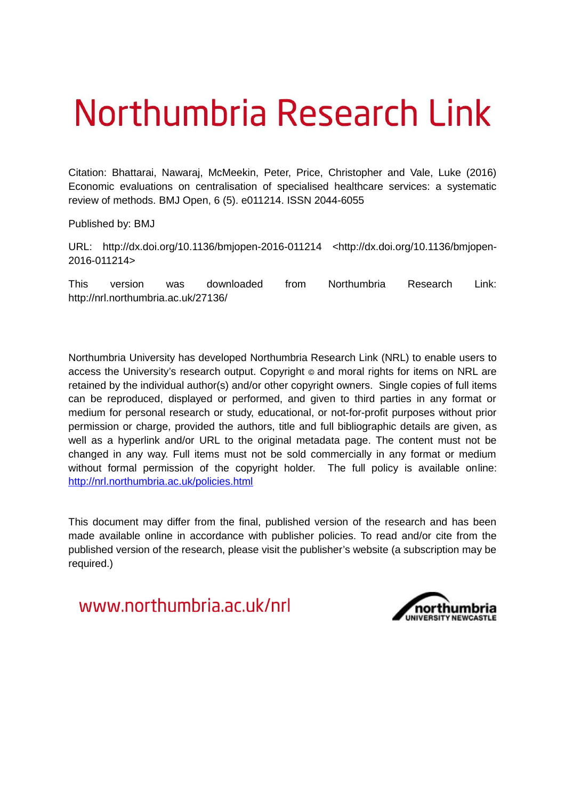# Northumbria Research Link

Citation: Bhattarai, Nawaraj, McMeekin, Peter, Price, Christopher and Vale, Luke (2016) Economic evaluations on centralisation of specialised healthcare services: a systematic review of methods. BMJ Open, 6 (5). e011214. ISSN 2044-6055

Published by: BMJ

URL: http://dx.doi.org/10.1136/bmjopen-2016-011214 <http://dx.doi.org/10.1136/bmjopen-2016-011214>

This version was downloaded from Northumbria Research Link: http://nrl.northumbria.ac.uk/27136/

Northumbria University has developed Northumbria Research Link (NRL) to enable users to access the University's research output. Copyright  $\circ$  and moral rights for items on NRL are retained by the individual author(s) and/or other copyright owners. Single copies of full items can be reproduced, displayed or performed, and given to third parties in any format or medium for personal research or study, educational, or not-for-profit purposes without prior permission or charge, provided the authors, title and full bibliographic details are given, as well as a hyperlink and/or URL to the original metadata page. The content must not be changed in any way. Full items must not be sold commercially in any format or medium without formal permission of the copyright holder. The full policy is available online: <http://nrl.northumbria.ac.uk/policies.html>

This document may differ from the final, published version of the research and has been made available online in accordance with publisher policies. To read and/or cite from the published version of the research, please visit the publisher's website (a subscription may be required.)

www.northumbria.ac.uk/nrl

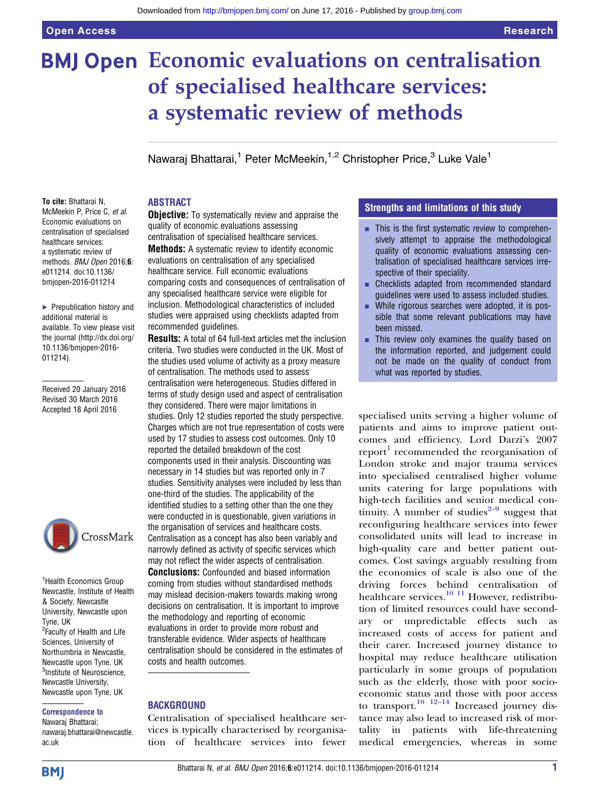# <span id="page-1-0"></span>**BMJ Open Economic evaluations on centralisation** of specialised healthcare services: a systematic review of methods

Nawaraj Bhattarai,<sup>1</sup> Peter McMeekin,<sup>1,2</sup> Christopher Price,<sup>3</sup> Luke Vale<sup>1</sup>

# ABSTRACT

To cite: Bhattarai N, McMeekin P, Price C, et al. Economic evaluations on centralisation of specialised healthcare services: a systematic review of methods. BMJ Open 2016;6: e011214. doi:10.1136/ bmjopen-2016-011214

▶ Prepublication history and additional material is available. To view please visit the journal [\(http://dx.doi.org/](http://dx.doi.org/10.1136/bmjopen-2016-011214) [10.1136/bmjopen-2016-](http://dx.doi.org/10.1136/bmjopen-2016-011214) [011214\)](http://dx.doi.org/10.1136/bmjopen-2016-011214).

Received 20 January 2016 Revised 30 March 2016 Accepted 18 April 2016



<sup>1</sup>Health Economics Group Newcastle, Institute of Health & Society, Newcastle University, Newcastle upon Tyne, UK <sup>2</sup> Faculty of Health and Life Sciences, University of Northumbria in Newcastle, Newcastle upon Tyne, UK <sup>3</sup>Institute of Neuroscience, Newcastle University, Newcastle upon Tyne, UK

#### Correspondence to

Nawaraj Bhattarai; nawaraj.bhattarai@newcastle. ac.uk

**Objective:** To systematically review and appraise the quality of economic evaluations assessing centralisation of specialised healthcare services. **Methods:** A systematic review to identify economic evaluations on centralisation of any specialised healthcare service. Full economic evaluations comparing costs and consequences of centralisation of any specialised healthcare service were eligible for inclusion. Methodological characteristics of included studies were appraised using checklists adapted from recommended guidelines.

Results: A total of 64 full-text articles met the inclusion criteria. Two studies were conducted in the UK. Most of the studies used volume of activity as a proxy measure of centralisation. The methods used to assess centralisation were heterogeneous. Studies differed in terms of study design used and aspect of centralisation they considered. There were major limitations in studies. Only 12 studies reported the study perspective. Charges which are not true representation of costs were used by 17 studies to assess cost outcomes. Only 10 reported the detailed breakdown of the cost components used in their analysis. Discounting was necessary in 14 studies but was reported only in 7 studies. Sensitivity analyses were included by less than one-third of the studies. The applicability of the identified studies to a setting other than the one they were conducted in is questionable, given variations in the organisation of services and healthcare costs. Centralisation as a concept has also been variably and narrowly defined as activity of specific services which may not reflect the wider aspects of centralisation. Conclusions: Confounded and biased information coming from studies without standardised methods may mislead decision-makers towards making wrong decisions on centralisation. It is important to improve the methodology and reporting of economic evaluations in order to provide more robust and transferable evidence. Wider aspects of healthcare centralisation should be considered in the estimates of costs and health outcomes.

#### BACKGROUND

Centralisation of specialised healthcare services is typically characterised by reorganisation of healthcare services into fewer

# Strengths and limitations of this study

- This is the first systematic review to comprehensively attempt to appraise the methodological quality of economic evaluations assessing centralisation of specialised healthcare services irrespective of their speciality.
- **EXECUTE:** Checklists adapted from recommended standard guidelines were used to assess included studies.
- **E** While rigorous searches were adopted, it is possible that some relevant publications may have been missed.
- $\blacksquare$  This review only examines the quality based on the information reported, and judgement could not be made on the quality of conduct from what was reported by studies.

specialised units serving a higher volume of patients and aims to improve patient outcomes and efficiency. Lord Darzi's 2007 report<sup>[1](#page-10-0)</sup> recommended the reorganisation of London stroke and major trauma services into specialised centralised higher volume units catering for large populations with high-tech facilities and seni[or m](#page-10-0)edical continuity. A number of studies $2-9$  suggest that reconfiguring healthcare services into fewer consolidated units will lead to increase in high-quality care and better patient outcomes. Cost savings arguably resulting from the economies of scale is also one of the driving forces behind centralisation of healthcare services.<sup>[10 11](#page-11-0)</sup> However, redistribution of limited resources could have secondary or unpredictable effects such as increased costs of access for patient and their carer. Increased journey distance to hospital may reduce healthcare utilisation particularly in some groups of population such as the elderly, those with poor socioeconomic status and those with poor access to transport.<sup>[10 12](#page-11-0)–14</sup> Increased journey distance may also lead to increased risk of mortality in patients with life-threatening medical emergencies, whereas in some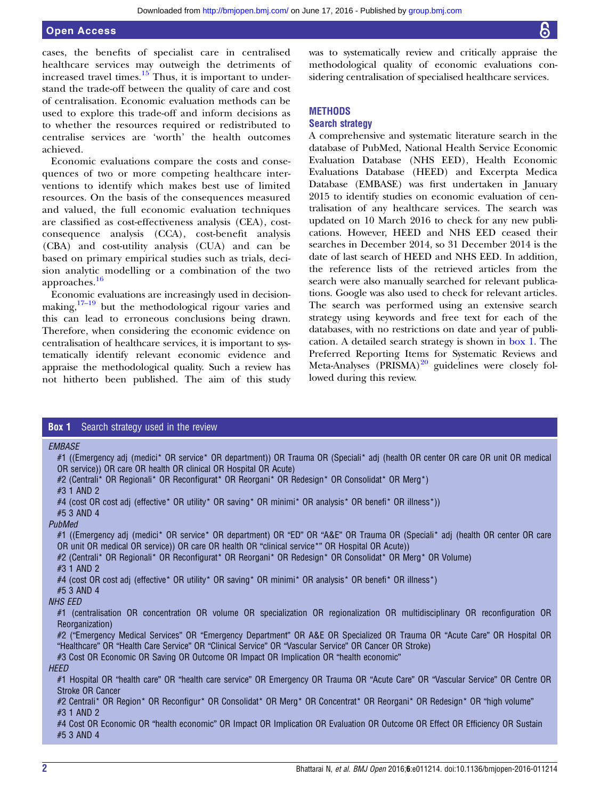cases, the benefits of specialist care in centralised healthcare services may outweigh the detriments of increased travel times.<sup>[15](#page-11-0)</sup> Thus, it is important to understand the trade-off between the quality of care and cost of centralisation. Economic evaluation methods can be used to explore this trade-off and inform decisions as to whether the resources required or redistributed to centralise services are 'worth' the health outcomes achieved.

Economic evaluations compare the costs and consequences of two or more competing healthcare interventions to identify which makes best use of limited resources. On the basis of the consequences measured and valued, the full economic evaluation techniques are classified as cost-effectiveness analysis (CEA), costconsequence analysis (CCA), cost-benefit analysis (CBA) and cost-utility analysis (CUA) and can be based on primary empirical studies such as trials, decision analytic modelling or a combination of the two approaches.[16](#page-11-0)

Economic evaluations are increasingly used in decisionmaking, $17-19$  $17-19$  but the methodological rigour varies and this can lead to erroneous conclusions being drawn. Therefore, when considering the economic evidence on centralisation of healthcare services, it is important to systematically identify relevant economic evidence and appraise the methodological quality. Such a review has not hitherto been published. The aim of this study was to systematically review and critically appraise the methodological quality of economic evaluations considering centralisation of specialised healthcare services.

#### **METHODS**

#### Search strategy

A comprehensive and systematic literature search in the database of PubMed, National Health Service Economic Evaluation Database (NHS EED), Health Economic Evaluations Database (HEED) and Excerpta Medica Database (EMBASE) was first undertaken in January 2015 to identify studies on economic evaluation of centralisation of any healthcare services. The search was updated on 10 March 2016 to check for any new publications. However, HEED and NHS EED ceased their searches in December 2014, so 31 December 2014 is the date of last search of HEED and NHS EED. In addition, the reference lists of the retrieved articles from the search were also manually searched for relevant publications. Google was also used to check for relevant articles. The search was performed using an extensive search strategy using keywords and free text for each of the databases, with no restrictions on date and year of publication. A detailed search strategy is shown in [box 1](#page-1-0). The Preferred Reporting Items for Systematic Reviews and Meta-Analyses  $(PRISMA)^{20}$  $(PRISMA)^{20}$  $(PRISMA)^{20}$  guidelines were closely followed during this review.

# **Box 1** Search strategy used in the review

**EMBASE** #1 ((Emergency adj (medici\* OR service\* OR department)) OR Trauma OR (Speciali\* adj (health OR center OR care OR unit OR medical OR service)) OR care OR health OR clinical OR Hospital OR Acute) #2 (Centrali\* OR Regionali\* OR Reconfigurat\* OR Reorgani\* OR Redesign\* OR Consolidat\* OR Merg\*) #3 1 AND 2 #4 (cost OR cost adj (effective\* OR utility\* OR saving\* OR minimi\* OR analysis\* OR benefi\* OR illness\*)) #5 3 AND 4 PubMed #1 ((Emergency adj (medici\* OR service\* OR department) OR "ED" OR "A&E" OR Trauma OR (Speciali\* adj (health OR center OR care OR unit OR medical OR service)) OR care OR health OR "clinical service\*" OR Hospital OR Acute)) #2 (Centrali\* OR Regionali\* OR Reconfigurat\* OR Reorgani\* OR Redesign\* OR Consolidat\* OR Merg\* OR Volume) #3 1 AND 2 #4 (cost OR cost adj (effective\* OR utility\* OR saving\* OR minimi\* OR analysis\* OR benefi\* OR illness\*) #5 3 AND 4 NHS EED #1 (centralisation OR concentration OR volume OR specialization OR regionalization OR multidisciplinary OR reconfiguration OR Reorganization) #2 ("Emergency Medical Services" OR "Emergency Department" OR A&E OR Specialized OR Trauma OR "Acute Care" OR Hospital OR "Healthcare" OR "Health Care Service" OR "Clinical Service" OR "Vascular Service" OR Cancer OR Stroke) #3 Cost OR Economic OR Saving OR Outcome OR Impact OR Implication OR "health economic" **HEED** #1 Hospital OR "health care" OR "health care service" OR Emergency OR Trauma OR "Acute Care" OR "Vascular Service" OR Centre OR Stroke OR Cancer #2 Centrali\* OR Region\* OR Reconfigur\* OR Consolidat\* OR Merg\* OR Concentrat\* OR Reorgani\* OR Redesign\* OR "high volume" #3 1 AND 2 #4 Cost OR Economic OR "health economic" OR Impact OR Implication OR Evaluation OR Outcome OR Effect OR Efficiency OR Sustain #5 3 AND 4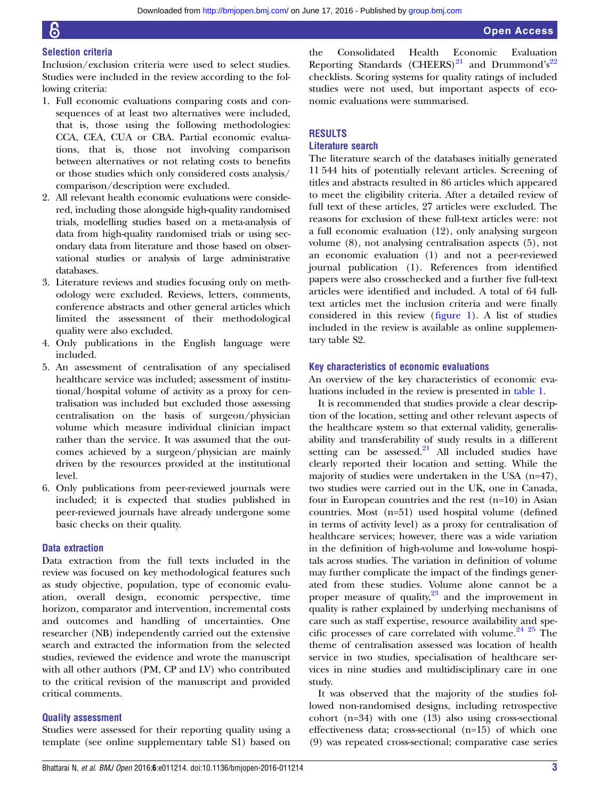# Selection criteria

Inclusion/exclusion criteria were used to select studies. Studies were included in the review according to the following criteria:

- 1. Full economic evaluations comparing costs and consequences of at least two alternatives were included, that is, those using the following methodologies: CCA, CEA, CUA or CBA. Partial economic evaluations, that is, those not involving comparison between alternatives or not relating costs to benefits or those studies which only considered costs analysis/ comparison/description were excluded.
- 2. All relevant health economic evaluations were considered, including those alongside high-quality randomised trials, modelling studies based on a meta-analysis of data from high-quality randomised trials or using secondary data from literature and those based on observational studies or analysis of large administrative databases.
- 3. Literature reviews and studies focusing only on methodology were excluded. Reviews, letters, comments, conference abstracts and other general articles which limited the assessment of their methodological quality were also excluded.
- 4. Only publications in the English language were included.
- 5. An assessment of centralisation of any specialised healthcare service was included; assessment of institutional/hospital volume of activity as a proxy for centralisation was included but excluded those assessing centralisation on the basis of surgeon/physician volume which measure individual clinician impact rather than the service. It was assumed that the outcomes achieved by a surgeon/physician are mainly driven by the resources provided at the institutional level.
- 6. Only publications from peer-reviewed journals were included; it is expected that studies published in peer-reviewed journals have already undergone some basic checks on their quality.

# Data extraction

Data extraction from the full texts included in the review was focused on key methodological features such as study objective, population, type of economic evaluation, overall design, economic perspective, time horizon, comparator and intervention, incremental costs and outcomes and handling of uncertainties. One researcher (NB) independently carried out the extensive search and extracted the information from the selected studies, reviewed the evidence and wrote the manuscript with all other authors (PM, CP and LV) who contributed to the critical revision of the manuscript and provided critical comments.

#### Quality assessment

Studies were assessed for their reporting quality using a template (see online supplementary table S1) based on

the Consolidated Health Economic Evaluation Reporting Standards (CHEERS)<sup>[21](#page-11-0)</sup> and Drummond's<sup>[22](#page-11-0)</sup> checklists. Scoring systems for quality ratings of included studies were not used, but important aspects of economic evaluations were summarised.

# RESULTS

# Literature search

The literature search of the databases initially generated 11 544 hits of potentially relevant articles. Screening of titles and abstracts resulted in 86 articles which appeared to meet the eligibility criteria. After a detailed review of full text of these articles, 27 articles were excluded. The reasons for exclusion of these full-text articles were: not a full economic evaluation (12), only analysing surgeon volume (8), not analysing centralisation aspects (5), not an economic evaluation (1) and not a peer-reviewed journal publication (1). References from identified papers were also crosschecked and a further five full-text articles were identified and included. A total of 64 fulltext articles met the inclusion criteria and were finally considered in this review (figure 1). A list of studies included in the review is available as online supplementary table S2.

# Key characteristics of economic evaluations

An overview of the key characteristics of economic evaluations included in the review is presented in [table 1](#page-4-0).

It is recommended that studies provide a clear description of the location, setting and other relevant aspects of the healthcare system so that external validity, generalisability and transferability of study results in a different setting can be assessed. $^{21}$  $^{21}$  $^{21}$  All included studies have clearly reported their location and setting. While the majority of studies were undertaken in the USA (n=47), two studies were carried out in the UK, one in Canada, four in European countries and the rest (n=10) in Asian countries. Most (n=51) used hospital volume (defined in terms of activity level) as a proxy for centralisation of healthcare services; however, there was a wide variation in the definition of high-volume and low-volume hospitals across studies. The variation in definition of volume may further complicate the impact of the findings generated from these studies. Volume alone cannot be a proper measure of quality, $23$  and the improvement in quality is rather explained by underlying mechanisms of care such as staff expertise, resource availability and specific processes of care correlated with volume.[24 25](#page-11-0) The theme of centralisation assessed was location of health service in two studies, specialisation of healthcare services in nine studies and multidisciplinary care in one study.

It was observed that the majority of the studies followed non-randomised designs, including retrospective cohort (n=34) with one (13) also using cross-sectional effectiveness data; cross-sectional (n=15) of which one (9) was repeated cross-sectional; comparative case series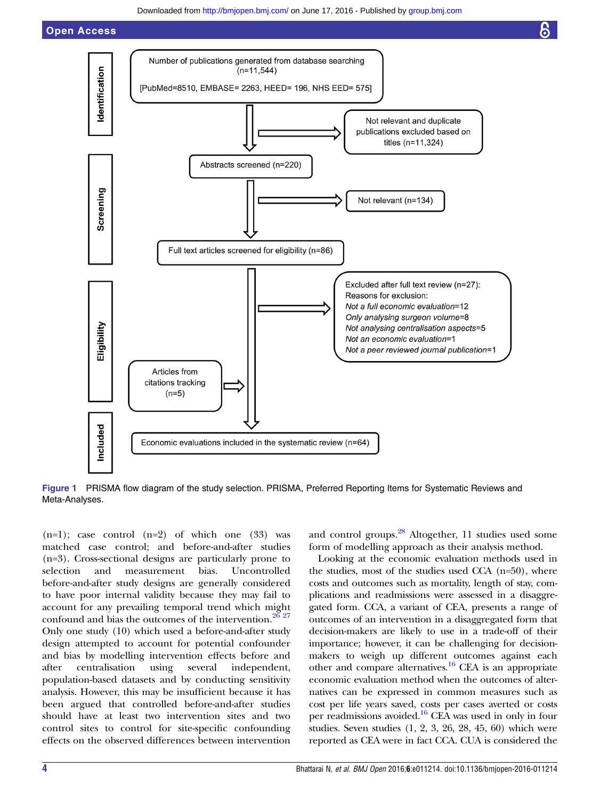

<span id="page-4-0"></span>

Figure 1 PRISMA flow diagram of the study selection. PRISMA, Preferred Reporting Items for Systematic Reviews and Meta-Analyses.

 $(n=1)$ ; case control  $(n=2)$  of which one  $(33)$  was matched case control; and before-and-after studies (n=3). Cross-sectional designs are particularly prone to selection and measurement bias. Uncontrolled before-and-after study designs are generally considered to have poor internal validity because they may fail to account for any prevailing temporal trend which might confound and bias the outcomes of the intervention.<sup>[26 27](#page-11-0)</sup> Only one study (10) which used a before-and-after study design attempted to account for potential confounder and bias by modelling intervention effects before and after centralisation using several independent, population-based datasets and by conducting sensitivity analysis. However, this may be insufficient because it has been argued that controlled before-and-after studies should have at least two intervention sites and two control sites to control for site-specific confounding effects on the observed differences between intervention

and control groups.<sup>[28](#page-11-0)</sup> Altogether, 11 studies used some form of modelling approach as their analysis method.

Looking at the economic evaluation methods used in the studies, most of the studies used CCA (n=50), where costs and outcomes such as mortality, length of stay, complications and readmissions were assessed in a disaggregated form. CCA, a variant of CEA, presents a range of outcomes of an intervention in a disaggregated form that decision-makers are likely to use in a trade-off of their importance; however, it can be challenging for decisionmakers to weigh up different outcomes against each other and compare alternatives.<sup>[16](#page-11-0)</sup> CEA is an appropriate economic evaluation method when the outcomes of alternatives can be expressed in common measures such as cost per life years saved, costs per cases averted or costs per readmissions avoided.[16](#page-11-0) CEA was used in only in four studies. Seven studies (1, 2, 3, 26, 28, 45, 60) which were reported as CEA were in fact CCA. CUA is considered the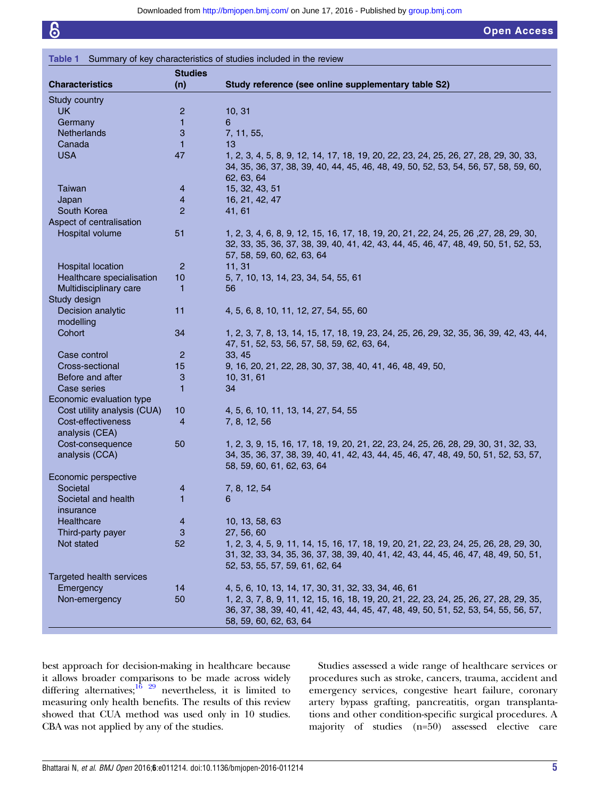<span id="page-5-0"></span>6

Open Access

| Table 1 Summary of key characteristics of studies included in the review |                       |                                                                                                                                                                                                                |  |  |
|--------------------------------------------------------------------------|-----------------------|----------------------------------------------------------------------------------------------------------------------------------------------------------------------------------------------------------------|--|--|
| <b>Characteristics</b>                                                   | <b>Studies</b><br>(n) | Study reference (see online supplementary table S2)                                                                                                                                                            |  |  |
| Study country                                                            |                       |                                                                                                                                                                                                                |  |  |
| <b>UK</b>                                                                | $\overline{2}$        | 10, 31                                                                                                                                                                                                         |  |  |
| Germany                                                                  | 1                     | 6                                                                                                                                                                                                              |  |  |
| <b>Netherlands</b>                                                       | 3                     | 7, 11, 55,                                                                                                                                                                                                     |  |  |
| Canada                                                                   | 1                     | 13                                                                                                                                                                                                             |  |  |
| <b>USA</b>                                                               | 47                    | 1, 2, 3, 4, 5, 8, 9, 12, 14, 17, 18, 19, 20, 22, 23, 24, 25, 26, 27, 28, 29, 30, 33,                                                                                                                           |  |  |
|                                                                          |                       | 34, 35, 36, 37, 38, 39, 40, 44, 45, 46, 48, 49, 50, 52, 53, 54, 56, 57, 58, 59, 60,<br>62, 63, 64                                                                                                              |  |  |
| <b>Taiwan</b>                                                            | $\overline{4}$        | 15, 32, 43, 51                                                                                                                                                                                                 |  |  |
| Japan                                                                    | $\overline{4}$        | 16, 21, 42, 47                                                                                                                                                                                                 |  |  |
| South Korea                                                              | $\overline{2}$        | 41,61                                                                                                                                                                                                          |  |  |
| Aspect of centralisation                                                 |                       |                                                                                                                                                                                                                |  |  |
| Hospital volume                                                          | 51                    | 1, 2, 3, 4, 6, 8, 9, 12, 15, 16, 17, 18, 19, 20, 21, 22, 24, 25, 26, 27, 28, 29, 30,<br>32, 33, 35, 36, 37, 38, 39, 40, 41, 42, 43, 44, 45, 46, 47, 48, 49, 50, 51, 52, 53,<br>57, 58, 59, 60, 62, 63, 64      |  |  |
| <b>Hospital location</b>                                                 | $\overline{2}$        | 11, 31                                                                                                                                                                                                         |  |  |
| Healthcare specialisation                                                | 10                    | 5, 7, 10, 13, 14, 23, 34, 54, 55, 61                                                                                                                                                                           |  |  |
| Multidisciplinary care                                                   | 1                     | 56                                                                                                                                                                                                             |  |  |
| Study design                                                             |                       |                                                                                                                                                                                                                |  |  |
| Decision analytic<br>modelling                                           | 11                    | 4, 5, 6, 8, 10, 11, 12, 27, 54, 55, 60                                                                                                                                                                         |  |  |
| Cohort                                                                   | 34                    | 1, 2, 3, 7, 8, 13, 14, 15, 17, 18, 19, 23, 24, 25, 26, 29, 32, 35, 36, 39, 42, 43, 44,<br>47, 51, 52, 53, 56, 57, 58, 59, 62, 63, 64,                                                                          |  |  |
| Case control                                                             | $\overline{c}$        | 33, 45                                                                                                                                                                                                         |  |  |
| Cross-sectional                                                          | 15                    | 9, 16, 20, 21, 22, 28, 30, 37, 38, 40, 41, 46, 48, 49, 50,                                                                                                                                                     |  |  |
| Before and after                                                         | 3                     | 10, 31, 61                                                                                                                                                                                                     |  |  |
| Case series                                                              | 1                     | 34                                                                                                                                                                                                             |  |  |
| Economic evaluation type                                                 |                       |                                                                                                                                                                                                                |  |  |
| Cost utility analysis (CUA)                                              | 10                    | 4, 5, 6, 10, 11, 13, 14, 27, 54, 55                                                                                                                                                                            |  |  |
| Cost-effectiveness<br>analysis (CEA)                                     | $\overline{4}$        | 7, 8, 12, 56                                                                                                                                                                                                   |  |  |
| Cost-consequence<br>analysis (CCA)                                       | 50                    | 1, 2, 3, 9, 15, 16, 17, 18, 19, 20, 21, 22, 23, 24, 25, 26, 28, 29, 30, 31, 32, 33,<br>34, 35, 36, 37, 38, 39, 40, 41, 42, 43, 44, 45, 46, 47, 48, 49, 50, 51, 52, 53, 57,<br>58, 59, 60, 61, 62, 63, 64       |  |  |
| Economic perspective                                                     |                       |                                                                                                                                                                                                                |  |  |
| Societal                                                                 | 4                     | 7, 8, 12, 54                                                                                                                                                                                                   |  |  |
| Societal and health<br>insurance                                         | 1                     | 6                                                                                                                                                                                                              |  |  |
| Healthcare                                                               | $\overline{4}$        | 10, 13, 58, 63                                                                                                                                                                                                 |  |  |
| Third-party payer                                                        | 3                     | 27, 56, 60                                                                                                                                                                                                     |  |  |
| Not stated                                                               | 52                    | 1, 2, 3, 4, 5, 9, 11, 14, 15, 16, 17, 18, 19, 20, 21, 22, 23, 24, 25, 26, 28, 29, 30,<br>31, 32, 33, 34, 35, 36, 37, 38, 39, 40, 41, 42, 43, 44, 45, 46, 47, 48, 49, 50, 51,<br>52, 53, 55, 57, 59, 61, 62, 64 |  |  |
| Targeted health services                                                 |                       |                                                                                                                                                                                                                |  |  |
| Emergency                                                                | 14                    | 4, 5, 6, 10, 13, 14, 17, 30, 31, 32, 33, 34, 46, 61                                                                                                                                                            |  |  |
| Non-emergency                                                            | 50                    | 1, 2, 3, 7, 8, 9, 11, 12, 15, 16, 18, 19, 20, 21, 22, 23, 24, 25, 26, 27, 28, 29, 35,<br>36, 37, 38, 39, 40, 41, 42, 43, 44, 45, 47, 48, 49, 50, 51, 52, 53, 54, 55, 56, 57,<br>58, 59, 60, 62, 63, 64         |  |  |
|                                                                          |                       |                                                                                                                                                                                                                |  |  |

best approach for decision-making in healthcare because it allows broader comparisons to be made across widely differing alternatives;<sup>[16 29](#page-11-0)</sup> nevertheless, it is limited to measuring only health benefits. The results of this review showed that CUA method was used only in 10 studies. CBA was not applied by any of the studies.

Studies assessed a wide range of healthcare services or procedures such as stroke, cancers, trauma, accident and emergency services, congestive heart failure, coronary artery bypass grafting, pancreatitis, organ transplantations and other condition-specific surgical procedures. A majority of studies (n=50) assessed elective care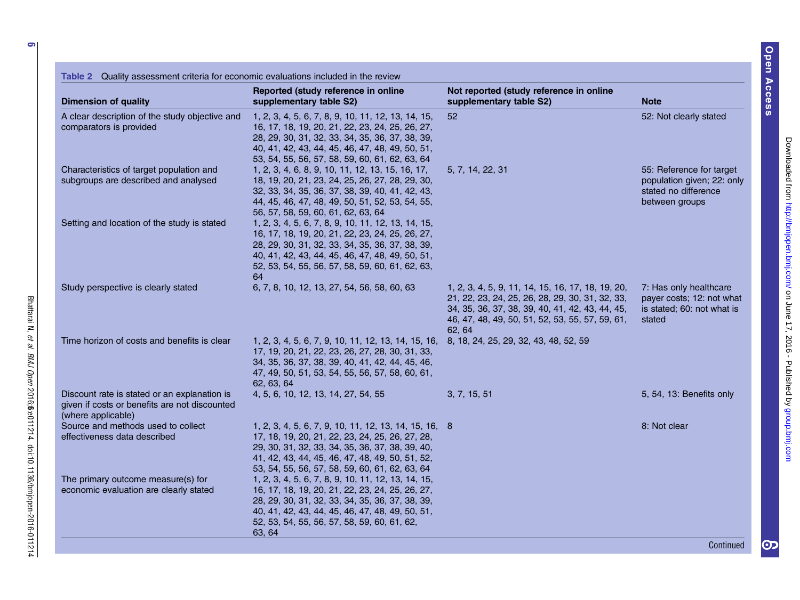| <b>Dimension of quality</b>                                                                                         | Reported (study reference in online<br>supplementary table S2)                                                                                                                                                                                                       | Not reported (study reference in online<br>supplementary table S2)                                                                                                                                                   | <b>Note</b>                                                                                      |
|---------------------------------------------------------------------------------------------------------------------|----------------------------------------------------------------------------------------------------------------------------------------------------------------------------------------------------------------------------------------------------------------------|----------------------------------------------------------------------------------------------------------------------------------------------------------------------------------------------------------------------|--------------------------------------------------------------------------------------------------|
| A clear description of the study objective and<br>comparators is provided                                           | 1, 2, 3, 4, 5, 6, 7, 8, 9, 10, 11, 12, 13, 14, 15,<br>16, 17, 18, 19, 20, 21, 22, 23, 24, 25, 26, 27,<br>28, 29, 30, 31, 32, 33, 34, 35, 36, 37, 38, 39,<br>40, 41, 42, 43, 44, 45, 46, 47, 48, 49, 50, 51,<br>53, 54, 55, 56, 57, 58, 59, 60, 61, 62, 63, 64        | 52                                                                                                                                                                                                                   | 52: Not clearly stated                                                                           |
| Characteristics of target population and<br>subgroups are described and analysed                                    | 1, 2, 3, 4, 6, 8, 9, 10, 11, 12, 13, 15, 16, 17,<br>18, 19, 20, 21, 23, 24, 25, 26, 27, 28, 29, 30,<br>32, 33, 34, 35, 36, 37, 38, 39, 40, 41, 42, 43,<br>44, 45, 46, 47, 48, 49, 50, 51, 52, 53, 54, 55,<br>56, 57, 58, 59, 60, 61, 62, 63, 64                      | 5, 7, 14, 22, 31                                                                                                                                                                                                     | 55: Reference for target<br>population given; 22: only<br>stated no difference<br>between groups |
| Setting and location of the study is stated                                                                         | 1, 2, 3, 4, 5, 6, 7, 8, 9, 10, 11, 12, 13, 14, 15,<br>16, 17, 18, 19, 20, 21, 22, 23, 24, 25, 26, 27,<br>28, 29, 30, 31, 32, 33, 34, 35, 36, 37, 38, 39,<br>40, 41, 42, 43, 44, 45, 46, 47, 48, 49, 50, 51,<br>52, 53, 54, 55, 56, 57, 58, 59, 60, 61, 62, 63,<br>64 |                                                                                                                                                                                                                      |                                                                                                  |
| Study perspective is clearly stated                                                                                 | 6, 7, 8, 10, 12, 13, 27, 54, 56, 58, 60, 63                                                                                                                                                                                                                          | 1, 2, 3, 4, 5, 9, 11, 14, 15, 16, 17, 18, 19, 20,<br>21, 22, 23, 24, 25, 26, 28, 29, 30, 31, 32, 33,<br>34, 35, 36, 37, 38, 39, 40, 41, 42, 43, 44, 45,<br>46, 47, 48, 49, 50, 51, 52, 53, 55, 57, 59, 61,<br>62, 64 | 7: Has only healthcare<br>payer costs; 12: not what<br>is stated; 60: not what is<br>stated      |
| Time horizon of costs and benefits is clear                                                                         | 1, 2, 3, 4, 5, 6, 7, 9, 10, 11, 12, 13, 14, 15, 16,<br>17, 19, 20, 21, 22, 23, 26, 27, 28, 30, 31, 33,<br>34, 35, 36, 37, 38, 39, 40, 41, 42, 44, 45, 46,<br>47, 49, 50, 51, 53, 54, 55, 56, 57, 58, 60, 61,<br>62, 63, 64                                           | 8, 18, 24, 25, 29, 32, 43, 48, 52, 59                                                                                                                                                                                |                                                                                                  |
| Discount rate is stated or an explanation is<br>given if costs or benefits are not discounted<br>(where applicable) | 4, 5, 6, 10, 12, 13, 14, 27, 54, 55                                                                                                                                                                                                                                  | 3, 7, 15, 51                                                                                                                                                                                                         | 5, 54, 13: Benefits only                                                                         |
| Source and methods used to collect<br>effectiveness data described                                                  | 1, 2, 3, 4, 5, 6, 7, 9, 10, 11, 12, 13, 14, 15, 16, 8<br>17, 18, 19, 20, 21, 22, 23, 24, 25, 26, 27, 28,<br>29, 30, 31, 32, 33, 34, 35, 36, 37, 38, 39, 40,<br>41, 42, 43, 44, 45, 46, 47, 48, 49, 50, 51, 52,<br>53, 54, 55, 56, 57, 58, 59, 60, 61, 62, 63, 64     |                                                                                                                                                                                                                      | 8: Not clear                                                                                     |
| The primary outcome measure(s) for<br>economic evaluation are clearly stated                                        | 1, 2, 3, 4, 5, 6, 7, 8, 9, 10, 11, 12, 13, 14, 15,<br>16, 17, 18, 19, 20, 21, 22, 23, 24, 25, 26, 27,<br>28, 29, 30, 31, 32, 33, 34, 35, 36, 37, 38, 39,<br>40, 41, 42, 43, 44, 45, 46, 47, 48, 49, 50, 51,<br>52, 53, 54, 55, 56, 57, 58, 59, 60, 61, 62,<br>63, 64 |                                                                                                                                                                                                                      |                                                                                                  |

Bhattarai N,

et al.

BMJ Open

2016;6

:e011214. doi:10.1136/bmjopen-2016-011214

Open Access

**Open Access** 

တ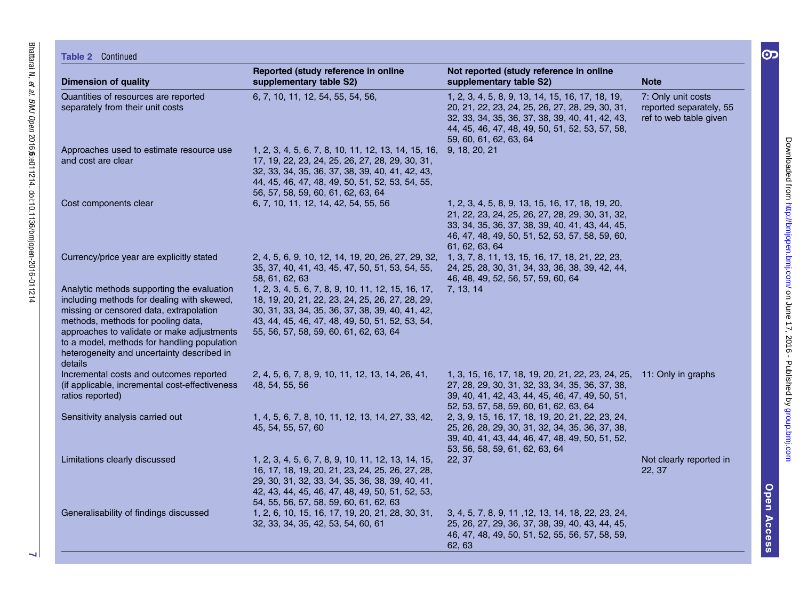$\overline{\phantom{0}}$ 

Table 2 Continued

Dimension of quality

Quantities of resources are reported separately from their unit costs

| separately from their unit costs                                                                                                                                                                                                                                                                                                |                                                                                                                                                                                                                                                                  | 20, 21, 22, 23, 24, 25, 26, 27, 28, 29, 30, 31,<br>32, 33, 34, 35, 36, 37, 38, 39, 40, 41, 42, 43,<br>44, 45, 46, 47, 48, 49, 50, 51, 52, 53, 57, 58,<br>59, 60, 61, 62, 63, 64                                             | reported separately, 55<br>ref to web table given |
|---------------------------------------------------------------------------------------------------------------------------------------------------------------------------------------------------------------------------------------------------------------------------------------------------------------------------------|------------------------------------------------------------------------------------------------------------------------------------------------------------------------------------------------------------------------------------------------------------------|-----------------------------------------------------------------------------------------------------------------------------------------------------------------------------------------------------------------------------|---------------------------------------------------|
| Approaches used to estimate resource use<br>and cost are clear                                                                                                                                                                                                                                                                  | 1, 2, 3, 4, 5, 6, 7, 8, 10, 11, 12, 13, 14, 15, 16, 9, 18, 20, 21<br>17, 19, 22, 23, 24, 25, 26, 27, 28, 29, 30, 31,<br>32, 33, 34, 35, 36, 37, 38, 39, 40, 41, 42, 43,<br>44, 45, 46, 47, 48, 49, 50, 51, 52, 53, 54, 55,<br>56, 57, 58, 59, 60, 61, 62, 63, 64 |                                                                                                                                                                                                                             |                                                   |
| Cost components clear                                                                                                                                                                                                                                                                                                           | 6, 7, 10, 11, 12, 14, 42, 54, 55, 56                                                                                                                                                                                                                             | 1, 2, 3, 4, 5, 8, 9, 13, 15, 16, 17, 18, 19, 20,<br>21, 22, 23, 24, 25, 26, 27, 28, 29, 30, 31, 32,<br>33, 34, 35, 36, 37, 38, 39, 40, 41, 43, 44, 45,<br>46, 47, 48, 49, 50, 51, 52, 53, 57, 58, 59, 60,<br>61, 62, 63, 64 |                                                   |
| Currency/price year are explicitly stated                                                                                                                                                                                                                                                                                       | 2, 4, 5, 6, 9, 10, 12, 14, 19, 20, 26, 27, 29, 32, 1, 3, 7, 8, 11, 13, 15, 16, 17, 18, 21, 22, 23,<br>35, 37, 40, 41, 43, 45, 47, 50, 51, 53, 54, 55,<br>58, 61, 62, 63                                                                                          | 24, 25, 28, 30, 31, 34, 33, 36, 38, 39, 42, 44,<br>46, 48, 49, 52, 56, 57, 59, 60, 64                                                                                                                                       |                                                   |
| Analytic methods supporting the evaluation<br>including methods for dealing with skewed,<br>missing or censored data, extrapolation<br>methods, methods for pooling data,<br>approaches to validate or make adjustments<br>to a model, methods for handling population<br>heterogeneity and uncertainty described in<br>details | 1, 2, 3, 4, 5, 6, 7, 8, 9, 10, 11, 12, 15, 16, 17,<br>18, 19, 20, 21, 22, 23, 24, 25, 26, 27, 28, 29,<br>30, 31, 33, 34, 35, 36, 37, 38, 39, 40, 41, 42,<br>43, 44, 45, 46, 47, 48, 49, 50, 51, 52, 53, 54,<br>55, 56, 57, 58, 59, 60, 61, 62, 63, 64            | 7, 13, 14                                                                                                                                                                                                                   |                                                   |
| Incremental costs and outcomes reported<br>(if applicable, incremental cost-effectiveness<br>ratios reported)                                                                                                                                                                                                                   | 2, 4, 5, 6, 7, 8, 9, 10, 11, 12, 13, 14, 26, 41,<br>48, 54, 55, 56                                                                                                                                                                                               | 1, 3, 15, 16, 17, 18, 19, 20, 21, 22, 23, 24, 25, 11: Only in graphs<br>27, 28, 29, 30, 31, 32, 33, 34, 35, 36, 37, 38,<br>39, 40, 41, 42, 43, 44, 45, 46, 47, 49, 50, 51,<br>52, 53, 57, 58, 59, 60, 61, 62, 63, 64        |                                                   |
| Sensitivity analysis carried out                                                                                                                                                                                                                                                                                                | 1, 4, 5, 6, 7, 8, 10, 11, 12, 13, 14, 27, 33, 42,<br>45, 54, 55, 57, 60                                                                                                                                                                                          | 2, 3, 9, 15, 16, 17, 18, 19, 20, 21, 22, 23, 24,<br>25, 26, 28, 29, 30, 31, 32, 34, 35, 36, 37, 38,<br>39, 40, 41, 43, 44, 46, 47, 48, 49, 50, 51, 52,<br>53, 56, 58, 59, 61, 62, 63, 64                                    |                                                   |
| Limitations clearly discussed                                                                                                                                                                                                                                                                                                   | 1, 2, 3, 4, 5, 6, 7, 8, 9, 10, 11, 12, 13, 14, 15,<br>16, 17, 18, 19, 20, 21, 23, 24, 25, 26, 27, 28,<br>29, 30, 31, 32, 33, 34, 35, 36, 38, 39, 40, 41,<br>42, 43, 44, 45, 46, 47, 48, 49, 50, 51, 52, 53,<br>54, 55, 56, 57, 58, 59, 60, 61, 62, 63            | 22, 37                                                                                                                                                                                                                      | Not clearly reported in<br>22, 37                 |
| Generalisability of findings discussed                                                                                                                                                                                                                                                                                          | 1, 2, 6, 10, 15, 16, 17, 19, 20, 21, 28, 30, 31,<br>32, 33, 34, 35, 42, 53, 54, 60, 61                                                                                                                                                                           | 3, 4, 5, 7, 8, 9, 11, 12, 13, 14, 18, 22, 23, 24,<br>25, 26, 27, 29, 36, 37, 38, 39, 40, 43, 44, 45,<br>46, 47, 48, 49, 50, 51, 52, 55, 56, 57, 58, 59,<br>62, 63                                                           |                                                   |

Reported (study reference in online

Not reported (study reference in online

6, 7, 10, 11, 12, 54, 55, 54, 56, 1, 2, 3, 4, 5, 8, 9, 13, 14, 15, 16, 17, 18, 19,

supplementary table S2) Note

supplementary table S2)

 $\bigcirc$ 

7: Only unit costs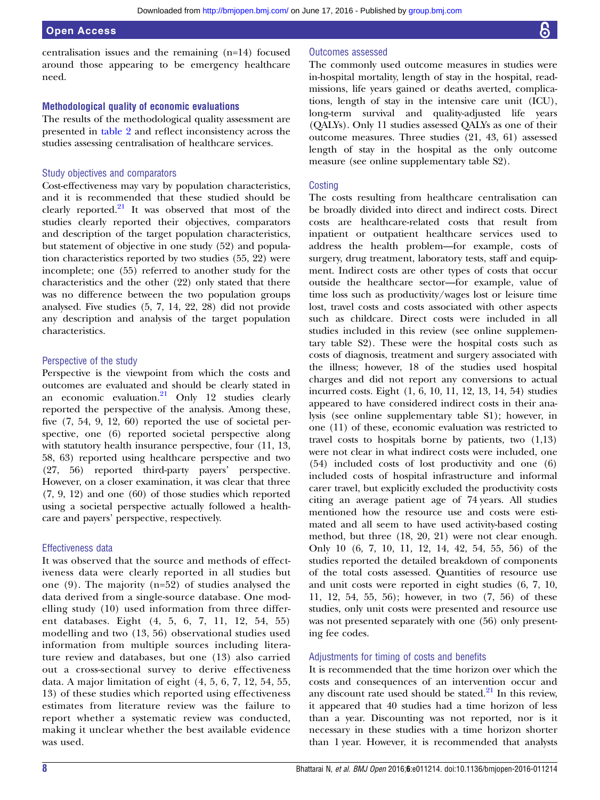centralisation issues and the remaining (n=14) focused around those appearing to be emergency healthcare need.

# Methodological quality of economic evaluations

The results of the methodological quality assessment are presented in [table 2](#page-5-0) and reflect inconsistency across the studies assessing centralisation of healthcare services.

# Study objectives and comparators

Cost-effectiveness may vary by population characteristics, and it is recommended that these studied should be clearly reported. $21$  It was observed that most of the studies clearly reported their objectives, comparators and description of the target population characteristics, but statement of objective in one study (52) and population characteristics reported by two studies (55, 22) were incomplete; one (55) referred to another study for the characteristics and the other (22) only stated that there was no difference between the two population groups analysed. Five studies (5, 7, 14, 22, 28) did not provide any description and analysis of the target population characteristics.

# Perspective of the study

Perspective is the viewpoint from which the costs and outcomes are evaluated and should be clearly stated in an economic evaluation. $^{21}$  $^{21}$  $^{21}$  Only 12 studies clearly reported the perspective of the analysis. Among these, five (7, 54, 9, 12, 60) reported the use of societal perspective, one (6) reported societal perspective along with statutory health insurance perspective, four (11, 13, 58, 63) reported using healthcare perspective and two (27, 56) reported third-party payers' perspective. However, on a closer examination, it was clear that three (7, 9, 12) and one (60) of those studies which reported using a societal perspective actually followed a healthcare and payers' perspective, respectively.

# Effectiveness data

It was observed that the source and methods of effectiveness data were clearly reported in all studies but one (9). The majority (n=52) of studies analysed the data derived from a single-source database. One modelling study (10) used information from three different databases. Eight (4, 5, 6, 7, 11, 12, 54, 55) modelling and two (13, 56) observational studies used information from multiple sources including literature review and databases, but one (13) also carried out a cross-sectional survey to derive effectiveness data. A major limitation of eight (4, 5, 6, 7, 12, 54, 55, 13) of these studies which reported using effectiveness estimates from literature review was the failure to report whether a systematic review was conducted, making it unclear whether the best available evidence was used.

# Outcomes assessed

The commonly used outcome measures in studies were in-hospital mortality, length of stay in the hospital, readmissions, life years gained or deaths averted, complications, length of stay in the intensive care unit (ICU), long-term survival and quality-adjusted life years (QALYs). Only 11 studies assessed QALYs as one of their outcome measures. Three studies (21, 43, 61) assessed length of stay in the hospital as the only outcome measure (see online supplementary table S2).

# **Costing**

The costs resulting from healthcare centralisation can be broadly divided into direct and indirect costs. Direct costs are healthcare-related costs that result from inpatient or outpatient healthcare services used to address the health problem—for example, costs of surgery, drug treatment, laboratory tests, staff and equipment. Indirect costs are other types of costs that occur outside the healthcare sector—for example, value of time loss such as productivity/wages lost or leisure time lost, travel costs and costs associated with other aspects such as childcare. Direct costs were included in all studies included in this review (see online supplementary table S2). These were the hospital costs such as costs of diagnosis, treatment and surgery associated with the illness; however, 18 of the studies used hospital charges and did not report any conversions to actual incurred costs. Eight (1, 6, 10, 11, 12, 13, 14, 54) studies appeared to have considered indirect costs in their analysis (see online supplementary table S1); however, in one (11) of these, economic evaluation was restricted to travel costs to hospitals borne by patients, two (1,13) were not clear in what indirect costs were included, one (54) included costs of lost productivity and one (6) included costs of hospital infrastructure and informal carer travel, but explicitly excluded the productivity costs citing an average patient age of 74 years. All studies mentioned how the resource use and costs were estimated and all seem to have used activity-based costing method, but three (18, 20, 21) were not clear enough. Only 10 (6, 7, 10, 11, 12, 14, 42, 54, 55, 56) of the studies reported the detailed breakdown of components of the total costs assessed. Quantities of resource use and unit costs were reported in eight studies (6, 7, 10, 11, 12, 54, 55, 56); however, in two (7, 56) of these studies, only unit costs were presented and resource use was not presented separately with one (56) only presenting fee codes.

# Adjustments for timing of costs and benefits

It is recommended that the time horizon over which the costs and consequences of an intervention occur and any discount rate used should be stated. $21$  In this review, it appeared that 40 studies had a time horizon of less than a year. Discounting was not reported, nor is it necessary in these studies with a time horizon shorter than 1 year. However, it is recommended that analysts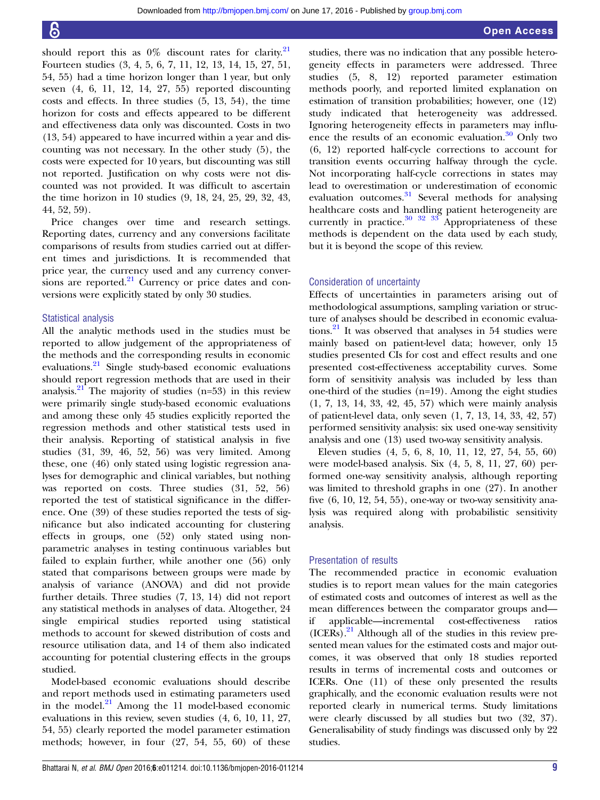should report this as  $0\%$  discount rates for clarity.<sup>[21](#page-11-0)</sup> Fourteen studies (3, 4, 5, 6, 7, 11, 12, 13, 14, 15, 27, 51, 54, 55) had a time horizon longer than 1 year, but only seven (4, 6, 11, 12, 14, 27, 55) reported discounting costs and effects. In three studies (5, 13, 54), the time horizon for costs and effects appeared to be different and effectiveness data only was discounted. Costs in two (13, 54) appeared to have incurred within a year and discounting was not necessary. In the other study (5), the costs were expected for 10 years, but discounting was still not reported. Justification on why costs were not discounted was not provided. It was difficult to ascertain the time horizon in 10 studies (9, 18, 24, 25, 29, 32, 43, 44, 52, 59).

Price changes over time and research settings. Reporting dates, currency and any conversions facilitate comparisons of results from studies carried out at different times and jurisdictions. It is recommended that price year, the currency used and any currency conversions are reported. $21$  Currency or price dates and conversions were explicitly stated by only 30 studies.

#### Statistical analysis

All the analytic methods used in the studies must be reported to allow judgement of the appropriateness of the methods and the corresponding results in economic evaluations.<sup>[21](#page-11-0)</sup> Single study-based economic evaluations should report regression methods that are used in their analysis.<sup>[21](#page-11-0)</sup> The majority of studies ( $n=53$ ) in this review were primarily single study-based economic evaluations and among these only 45 studies explicitly reported the regression methods and other statistical tests used in their analysis. Reporting of statistical analysis in five studies (31, 39, 46, 52, 56) was very limited. Among these, one (46) only stated using logistic regression analyses for demographic and clinical variables, but nothing was reported on costs. Three studies (31, 52, 56) reported the test of statistical significance in the difference. One (39) of these studies reported the tests of significance but also indicated accounting for clustering effects in groups, one (52) only stated using nonparametric analyses in testing continuous variables but failed to explain further, while another one (56) only stated that comparisons between groups were made by analysis of variance (ANOVA) and did not provide further details. Three studies (7, 13, 14) did not report any statistical methods in analyses of data. Altogether, 24 single empirical studies reported using statistical methods to account for skewed distribution of costs and resource utilisation data, and 14 of them also indicated accounting for potential clustering effects in the groups studied.

Model-based economic evaluations should describe and report methods used in estimating parameters used in the model.[21](#page-11-0) Among the 11 model-based economic evaluations in this review, seven studies (4, 6, 10, 11, 27, 54, 55) clearly reported the model parameter estimation methods; however, in four (27, 54, 55, 60) of these

studies, there was no indication that any possible heterogeneity effects in parameters were addressed. Three studies (5, 8, 12) reported parameter estimation methods poorly, and reported limited explanation on estimation of transition probabilities; however, one (12) study indicated that heterogeneity was addressed. Ignoring heterogeneity effects in parameters may influence the results of an economic evaluation. $30$  Only two (6, 12) reported half-cycle corrections to account for transition events occurring halfway through the cycle. Not incorporating half-cycle corrections in states may lead to overestimation or underestimation of economic evaluation outcomes. $31$  Several methods for analysing healthcare costs and handling patient heterogeneity are currently in practice.<sup>30</sup>  $32^{33}$  Appropriateness of these methods is dependent on the data used by each study, but it is beyond the scope of this review.

# Consideration of uncertainty

Effects of uncertainties in parameters arising out of methodological assumptions, sampling variation or structure of analyses should be described in economic evaluations.[21](#page-11-0) It was observed that analyses in 54 studies were mainly based on patient-level data; however, only 15 studies presented CIs for cost and effect results and one presented cost-effectiveness acceptability curves. Some form of sensitivity analysis was included by less than one-third of the studies (n=19). Among the eight studies (1, 7, 13, 14, 33, 42, 45, 57) which were mainly analysis of patient-level data, only seven (1, 7, 13, 14, 33, 42, 57) performed sensitivity analysis: six used one-way sensitivity analysis and one (13) used two-way sensitivity analysis.

Eleven studies (4, 5, 6, 8, 10, 11, 12, 27, 54, 55, 60) were model-based analysis. Six (4, 5, 8, 11, 27, 60) performed one-way sensitivity analysis, although reporting was limited to threshold graphs in one (27). In another five (6, 10, 12, 54, 55), one-way or two-way sensitivity analysis was required along with probabilistic sensitivity analysis.

#### Presentation of results

The recommended practice in economic evaluation studies is to report mean values for the main categories of estimated costs and outcomes of interest as well as the mean differences between the comparator groups and if applicable—incremental cost-effectiveness ratios (ICERs).[21](#page-11-0) Although all of the studies in this review presented mean values for the estimated costs and major outcomes, it was observed that only 18 studies reported results in terms of incremental costs and outcomes or ICERs. One (11) of these only presented the results graphically, and the economic evaluation results were not reported clearly in numerical terms. Study limitations were clearly discussed by all studies but two (32, 37). Generalisability of study findings was discussed only by 22 studies.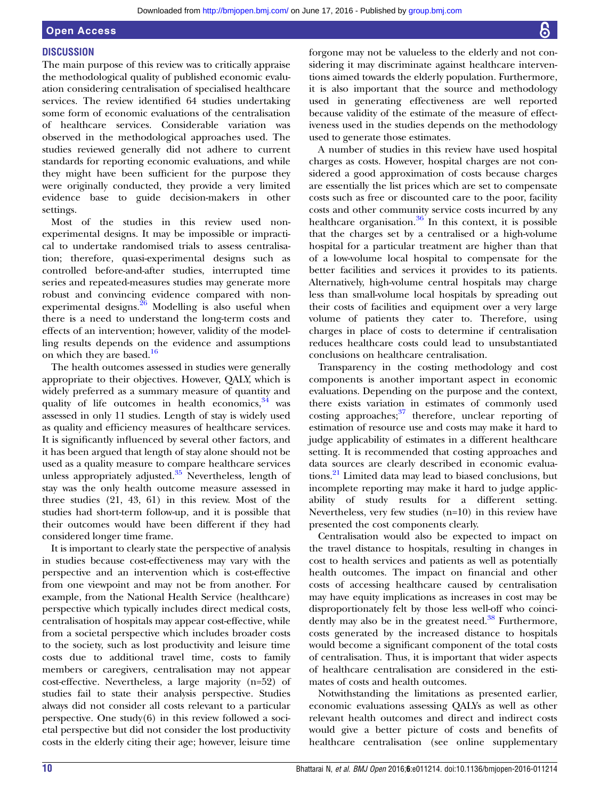# <span id="page-10-0"></span>Open Access

#### **DISCUSSION**

The main purpose of this review was to critically appraise the methodological quality of published economic evaluation considering centralisation of specialised healthcare services. The review identified 64 studies undertaking some form of economic evaluations of the centralisation of healthcare services. Considerable variation was observed in the methodological approaches used. The studies reviewed generally did not adhere to current standards for reporting economic evaluations, and while they might have been sufficient for the purpose they were originally conducted, they provide a very limited evidence base to guide decision-makers in other settings.

Most of the studies in this review used nonexperimental designs. It may be impossible or impractical to undertake randomised trials to assess centralisation; therefore, quasi-experimental designs such as controlled before-and-after studies, interrupted time series and repeated-measures studies may generate more robust and convincing evidence compared with non-experimental designs.<sup>[26](#page-11-0)</sup> Modelling is also useful when there is a need to understand the long-term costs and effects of an intervention; however, validity of the modelling results depends on the evidence and assumptions on which they are based.<sup>[16](#page-11-0)</sup>

The health outcomes assessed in studies were generally appropriate to their objectives. However, QALY, which is widely preferred as a summary measure of quantity and quality of life outcomes in health economics,  $34$  was assessed in only 11 studies. Length of stay is widely used as quality and efficiency measures of healthcare services. It is significantly influenced by several other factors, and it has been argued that length of stay alone should not be used as a quality measure to compare healthcare services unless appropriately adjusted. $35$  Nevertheless, length of stay was the only health outcome measure assessed in three studies (21, 43, 61) in this review. Most of the studies had short-term follow-up, and it is possible that their outcomes would have been different if they had considered longer time frame.

It is important to clearly state the perspective of analysis in studies because cost-effectiveness may vary with the perspective and an intervention which is cost-effective from one viewpoint and may not be from another. For example, from the National Health Service (healthcare) perspective which typically includes direct medical costs, centralisation of hospitals may appear cost-effective, while from a societal perspective which includes broader costs to the society, such as lost productivity and leisure time costs due to additional travel time, costs to family members or caregivers, centralisation may not appear cost-effective. Nevertheless, a large majority (n=52) of studies fail to state their analysis perspective. Studies always did not consider all costs relevant to a particular perspective. One study(6) in this review followed a societal perspective but did not consider the lost productivity costs in the elderly citing their age; however, leisure time

forgone may not be valueless to the elderly and not considering it may discriminate against healthcare interventions aimed towards the elderly population. Furthermore, it is also important that the source and methodology used in generating effectiveness are well reported because validity of the estimate of the measure of effectiveness used in the studies depends on the methodology used to generate those estimates.

A number of studies in this review have used hospital charges as costs. However, hospital charges are not considered a good approximation of costs because charges are essentially the list prices which are set to compensate costs such as free or discounted care to the poor, facility costs and other community service costs incurred by any healthcare organisation. $36$  In this context, it is possible that the charges set by a centralised or a high-volume hospital for a particular treatment are higher than that of a low-volume local hospital to compensate for the better facilities and services it provides to its patients. Alternatively, high-volume central hospitals may charge less than small-volume local hospitals by spreading out their costs of facilities and equipment over a very large volume of patients they cater to. Therefore, using charges in place of costs to determine if centralisation reduces healthcare costs could lead to unsubstantiated conclusions on healthcare centralisation.

Transparency in the costing methodology and cost components is another important aspect in economic evaluations. Depending on the purpose and the context, there exists variation in estimates of commonly used costing approaches; $37$  therefore, unclear reporting of estimation of resource use and costs may make it hard to judge applicability of estimates in a different healthcare setting. It is recommended that costing approaches and data sources are clearly described in economic evalua-tions.<sup>[21](#page-11-0)</sup> Limited data may lead to biased conclusions, but incomplete reporting may make it hard to judge applicability of study results for a different setting. Nevertheless, very few studies (n=10) in this review have presented the cost components clearly.

Centralisation would also be expected to impact on the travel distance to hospitals, resulting in changes in cost to health services and patients as well as potentially health outcomes. The impact on financial and other costs of accessing healthcare caused by centralisation may have equity implications as increases in cost may be disproportionately felt by those less well-off who coinci-dently may also be in the greatest need.<sup>[38](#page-11-0)</sup> Furthermore, costs generated by the increased distance to hospitals would become a significant component of the total costs of centralisation. Thus, it is important that wider aspects of healthcare centralisation are considered in the estimates of costs and health outcomes.

Notwithstanding the limitations as presented earlier, economic evaluations assessing QALYs as well as other relevant health outcomes and direct and indirect costs would give a better picture of costs and benefits of healthcare centralisation (see online supplementary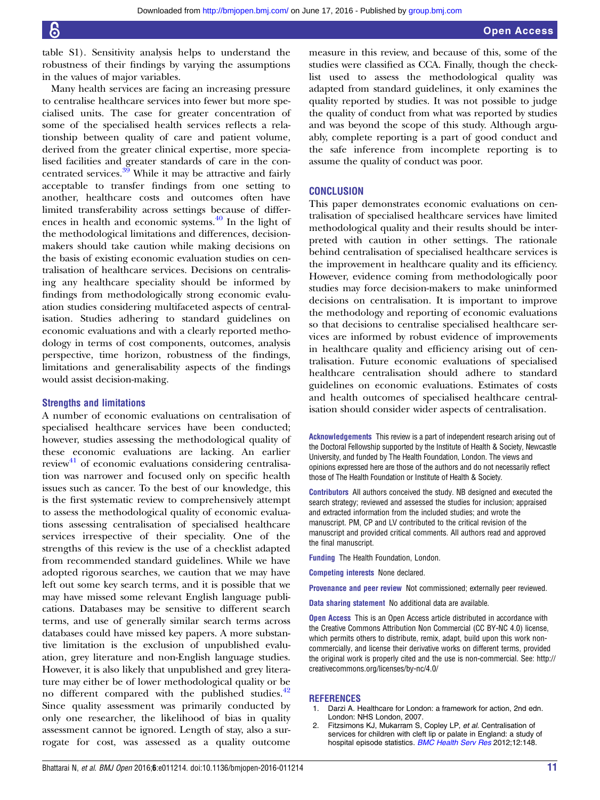<span id="page-11-0"></span>table S1). Sensitivity analysis helps to understand the robustness of their findings by varying the assumptions in the values of major variables.

Many health services are facing an increasing pressure to centralise healthcare services into fewer but more specialised units. The case for greater concentration of some of the specialised health services reflects a relationship between quality of care and patient volume, derived from the greater clinical expertise, more specialised facilities and greater standards of care in the concentrated services.<sup>39</sup> While it may be attractive and fairly acceptable to transfer findings from one setting to another, healthcare costs and outcomes often have limited transferability across settings because of differences in health and economic systems. $\frac{40}{10}$  In the light of the methodological limitations and differences, decisionmakers should take caution while making decisions on the basis of existing economic evaluation studies on centralisation of healthcare services. Decisions on centralising any healthcare speciality should be informed by findings from methodologically strong economic evaluation studies considering multifaceted aspects of centralisation. Studies adhering to standard guidelines on economic evaluations and with a clearly reported methodology in terms of cost components, outcomes, analysis perspective, time horizon, robustness of the findings, limitations and generalisability aspects of the findings would assist decision-making.

#### Strengths and limitations

A number of economic evaluations on centralisation of specialised healthcare services have been conducted; however, studies assessing the methodological quality of these economic evaluations are lacking. An earlier review<sup>41</sup> of economic evaluations considering centralisation was narrower and focused only on specific health issues such as cancer. To the best of our knowledge, this is the first systematic review to comprehensively attempt to assess the methodological quality of economic evaluations assessing centralisation of specialised healthcare services irrespective of their speciality. One of the strengths of this review is the use of a checklist adapted from recommended standard guidelines. While we have adopted rigorous searches, we caution that we may have left out some key search terms, and it is possible that we may have missed some relevant English language publications. Databases may be sensitive to different search terms, and use of generally similar search terms across databases could have missed key papers. A more substantive limitation is the exclusion of unpublished evaluation, grey literature and non-English language studies. However, it is also likely that unpublished and grey literature may either be of lower methodological quality or be no different compared with the published studies.<sup>42</sup> Since quality assessment was primarily conducted by only one researcher, the likelihood of bias in quality assessment cannot be ignored. Length of stay, also a surrogate for cost, was assessed as a quality outcome

measure in this review, and because of this, some of the studies were classified as CCA. Finally, though the checklist used to assess the methodological quality was adapted from standard guidelines, it only examines the quality reported by studies. It was not possible to judge the quality of conduct from what was reported by studies and was beyond the scope of this study. Although arguably, complete reporting is a part of good conduct and the safe inference from incomplete reporting is to assume the quality of conduct was poor.

#### **CONCLUSION**

This paper demonstrates economic evaluations on centralisation of specialised healthcare services have limited methodological quality and their results should be interpreted with caution in other settings. The rationale behind centralisation of specialised healthcare services is the improvement in healthcare quality and its efficiency. However, evidence coming from methodologically poor studies may force decision-makers to make uninformed decisions on centralisation. It is important to improve the methodology and reporting of economic evaluations so that decisions to centralise specialised healthcare services are informed by robust evidence of improvements in healthcare quality and efficiency arising out of centralisation. Future economic evaluations of specialised healthcare centralisation should adhere to standard guidelines on economic evaluations. Estimates of costs and health outcomes of specialised healthcare centralisation should consider wider aspects of centralisation.

Acknowledgements This review is a part of independent research arising out of the Doctoral Fellowship supported by the Institute of Health & Society, Newcastle University, and funded by The Health Foundation, London. The views and opinions expressed here are those of the authors and do not necessarily reflect those of The Health Foundation or Institute of Health & Society.

Contributors All authors conceived the study. NB designed and executed the search strategy; reviewed and assessed the studies for inclusion; appraised and extracted information from the included studies; and wrote the manuscript. PM, CP and LV contributed to the critical revision of the manuscript and provided critical comments. All authors read and approved the final manuscript.

Funding The Health Foundation, London.

Competing interests None declared.

Provenance and peer review Not commissioned; externally peer reviewed.

Data sharing statement No additional data are available.

Open Access This is an Open Access article distributed in accordance with the Creative Commons Attribution Non Commercial (CC BY-NC 4.0) license, which permits others to distribute, remix, adapt, build upon this work noncommercially, and license their derivative works on different terms, provided the original work is properly cited and the use is non-commercial. See: [http://](http://creativecommons.org/licenses/by-nc/4.0/) [creativecommons.org/licenses/by-nc/4.0/](http://creativecommons.org/licenses/by-nc/4.0/)

#### **REFERENCES**

- Darzi A. Healthcare for London: a framework for action, 2nd edn. London: NHS London, 2007.
- 2. Fitzsimons KJ, Mukarram S, Copley LP, et al. Centralisation of services for children with cleft lip or palate in England: a study of hospital episode statistics. [BMC Health Serv Res](http://dx.doi.org/10.1186/1472-6963-12-148) 2012;12:148.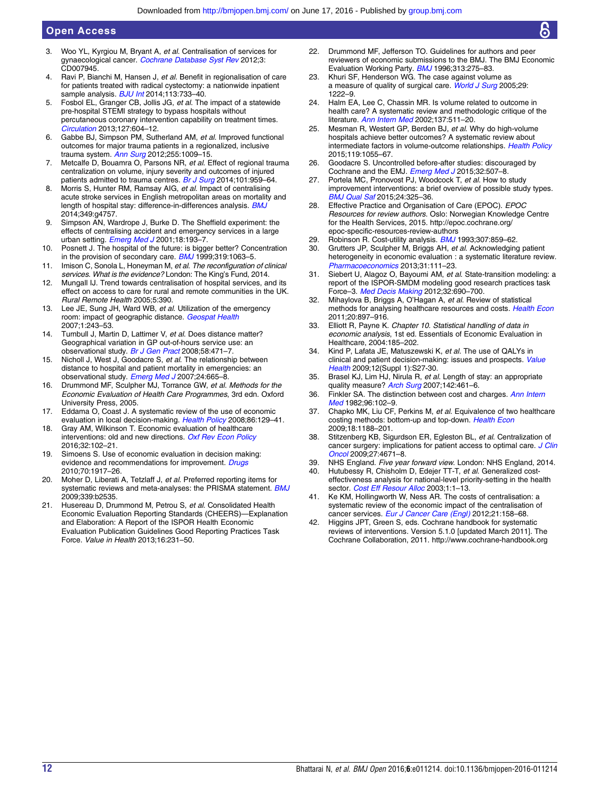### Open Access

- 3. Woo YL, Kyrgiou M, Bryant A, et al. Centralisation of services for gynaecological cancer. [Cochrane Database Syst Rev](http://dx.doi.org/10.1002/14651858.CD007945.pub2) 2012;3: CD007945.
- 4. Ravi P, Bianchi M, Hansen J, et al. Benefit in regionalisation of care for patients treated with radical cystectomy: a nationwide inpatient sample analysis. [BJU Int](http://dx.doi.org/10.1111/bju.12288) 2014;113:733-40.
- 5. Fosbol EL, Granger CB, Jollis JG, et al. The impact of a statewide pre-hospital STEMI strategy to bypass hospitals without percutaneous coronary intervention capability on treatment times. [Circulation](http://dx.doi.org/10.1161/CIRCULATIONAHA.112.118463) 2013;127:604–12.
- 6. Gabbe BJ, Simpson PM, Sutherland AM, et al. Improved functional outcomes for major trauma patients in a regionalized, inclusive trauma system. [Ann Surg](http://dx.doi.org/10.1097/SLA.0b013e31824c4b91) 2012;255:1009-15.
- 7. Metcalfe D, Bouamra O, Parsons NR, et al. Effect of regional trauma centralization on volume, injury severity and outcomes of injured patients admitted to trauma centres. [Br J Surg](http://dx.doi.org/10.1002/bjs.9498) 2014;101:959-64.
- 8. Morris S, Hunter RM, Ramsay AIG, et al. Impact of centralising acute stroke services in English metropolitan areas on mortality and length of hospital stay: difference-in-differences analysis. [BMJ](http://dx.doi.org/10.1136/bmj.g4757) 2014;349:g4757.
- 9. Simpson AN, Wardrope J, Burke D. The Sheffield experiment: the effects of centralising accident and emergency services in a large urban setting. [Emerg Med J](http://dx.doi.org/10.1136/emj.18.3.193) 2001;18:193-7.
- 10. Posnett J. The hospital of the future: is bigger better? Concentration in the provision of secondary care. **[BMJ](http://dx.doi.org/10.1136/bmj.319.7216.1063)** 1999;319:1063-5.
- 11. Imison C, Sonola L, Honeyman M, et al. The reconfiguration of clinical services. What is the evidence? London: The King's Fund, 2014.
- 12. Mungall IJ. Trend towards centralisation of hospital services, and its effect on access to care for rural and remote communities in the UK. Rural Remote Health 2005;5:390.
- 13. Lee JE, Sung JH, Ward WB, et al. Utilization of the emergency room: impact of geographic distance. [Geospat Health](http://dx.doi.org/10.4081/gh.2007.272) 2007;1:243–53.
- 14. Turnbull J, Martin D, Lattimer V, et al. Does distance matter? Geographical variation in GP out-of-hours service use: an observational study. [Br J Gen Pract](http://dx.doi.org/10.3399/bjgp08X319431) 2008;58:471-7.
- 15. Nicholl J, West J, Goodacre S, et al. The relationship between distance to hospital and patient mortality in emergencies: an observational study. [Emerg Med J](http://dx.doi.org/10.1136/emj.2007.047654) 2007;24:665-8.
- 16. Drummond MF, Sculpher MJ, Torrance GW, et al. Methods for the Economic Evaluation of Health Care Programmes, 3rd edn. Oxford University Press, 2005.
- 17. Eddama O, Coast J. A systematic review of the use of economic evaluation in local decision-making. [Health Policy](http://dx.doi.org/10.1016/j.healthpol.2007.11.010) 2008;86:129-41.
- 18. Gray AM, Wilkinson T. Economic evaluation of healthcare interventions: old and new directions. [Oxf Rev Econ Policy](http://dx.doi.org/10.1093/oxrep/grv020) 2016;32:102–21.
- 19. Simoens S. Use of economic evaluation in decision making: evidence and recommendations for improvement. [Drugs](http://dx.doi.org/10.2165/11538120-000000000-00000) 2010;70:1917–26.
- 20. Moher D, Liberati A, Tetzlaff J, et al. Preferred reporting items for systematic reviews and meta-analyses: the PRISMA statement. [BMJ](http://dx.doi.org/10.1136/bmj.b2535) 2009;339:b2535.
- 21. Husereau D, Drummond M, Petrou S, et al. Consolidated Health Economic Evaluation Reporting Standards (CHEERS)—Explanation and Elaboration: A Report of the ISPOR Health Economic Evaluation Publication Guidelines Good Reporting Practices Task Force. Value in Health 2013;16:231–50.
- 22. Drummond MF, Jefferson TO. Guidelines for authors and peer reviewers of economic submissions to the BMJ. The BMJ Economic Evaluation Working Party. [BMJ](http://dx.doi.org/10.1136/bmj.313.7052.275) 1996;313:275–83.
- 23. Khuri SF, Henderson WG. The case against volume as a measure of quality of surgical care. [World J Surg](http://dx.doi.org/10.1007/s00268-005-7987-6) 2005;29: 1222–9.
- 24. Halm EA, Lee C, Chassin MR. Is volume related to outcome in health care? A systematic review and methodologic critique of the literature. [Ann Intern Med](http://dx.doi.org/10.7326/0003-4819-137-6-200209170-00012) 2002;137:511-20.
- 25. Mesman R, Westert GP, Berden BJ, et al. Why do high-volume hospitals achieve better outcomes? A systematic review about intermediate factors in volume-outcome relationships. [Health Policy](http://dx.doi.org/10.1016/j.healthpol.2015.04.005) 2015;119:1055–67.
- 26. Goodacre S. Uncontrolled before-after studies: discouraged by Cochrane and the EMJ. [Emerg Med J](http://dx.doi.org/10.1136/emermed-2015-204761) 2015;32:507–8.
- 27. Portela MC, Pronovost PJ, Woodcock T, et al. How to study improvement interventions: a brief overview of possible study types. [BMJ Qual Saf](http://dx.doi.org/10.1136/bmjqs-2014-003620) 2015;24:325–36.
- 28. Effective Practice and Organisation of Care (EPOC). EPOC **Resources for review authors. Oslo: Norwegian Knowledge Centre** for the Health Services, 2015. [http://epoc.cochrane.org/](http://epoc.cochrane.org/epoc-specific-resources-review-authors) [epoc-specific-resources-review-authors](http://epoc.cochrane.org/epoc-specific-resources-review-authors)
- 29. Robinson R. Cost-utility analysis. **[BMJ](http://dx.doi.org/10.1136/bmj.307.6908.859) 1993**;307:859–62.<br>30. Grutters JP Sculpher M. Briggs AH et al. Acknowledging
- Grutters JP, Sculpher M, Briggs AH, et al. Acknowledging patient heterogeneity in economic evaluation : a systematic literature review. [Pharmacoeconomics](http://dx.doi.org/10.1007/s40273-012-0015-4) 2013;31:111–23.
- Siebert U, Alagoz O, Bayoumi AM, et al. State-transition modeling: a report of the ISPOR-SMDM modeling good research practices task Force–3. [Med Decis Making](http://dx.doi.org/10.1177/0272989X12455463) 2012;32:690–700.
- 32. Mihaylova B, Briggs A, O'Hagan A, et al. Review of statistical methods for analysing healthcare resources and costs. [Health Econ](http://dx.doi.org/10.1002/hec.1653) 2011;20:897–916.
- 33. Elliott R, Payne K. Chapter 10. Statistical handling of data in economic analysis, 1st ed. Essentials of Economic Evaluation in Healthcare, 2004:185–202.
- 34. Kind P, Lafata JE, Matuszewski K, et al. The use of QALYs in clinical and patient decision-making: issues and prospects. [Value](http://dx.doi.org/10.1111/j.1524-4733.2009.00519.x) [Health](http://dx.doi.org/10.1111/j.1524-4733.2009.00519.x) 2009;12(Suppl 1):S27-30.
- 35. Brasel KJ, Lim HJ, Nirula R, et al. Length of stay: an appropriate quality measure? [Arch Surg](http://dx.doi.org/10.1001/archsurg.142.5.461) 2007;142:461-6.
- 36. Finkler SA. The distinction between cost and charges. [Ann Intern](http://dx.doi.org/10.7326/0003-4819-96-1-102) [Med](http://dx.doi.org/10.7326/0003-4819-96-1-102) 1982;96:102–9.
- 37. Chapko MK, Liu CF, Perkins M, et al. Equivalence of two healthcare costing methods: bottom-up and top-down. [Health Econ](http://dx.doi.org/10.1002/hec.1422) 2009;18:1188–201.
- 38. Stitzenberg KB, Sigurdson ER, Egleston BL, et al. Centralization of cancer surgery: implications for patient access to optimal care. [J Clin](http://dx.doi.org/10.1200/JCO.2008.20.1715) [Oncol](http://dx.doi.org/10.1200/JCO.2008.20.1715) 2009;27:4671–8.
- 39. NHS England. Five year forward view. London: NHS England, 2014. 40. Hutubessy R, Chisholm D, Edejer TT-T, et al. Generalized cost-
- effectiveness analysis for national-level priority-setting in the health sector. [Cost Eff Resour Alloc](http://dx.doi.org/10.1186/1478-7547-1-8) 2003;1:1-13.
- 41. Ke KM, Hollingworth W, Ness AR. The costs of centralisation: a systematic review of the economic impact of the centralisation of cancer services. [Eur J Cancer Care \(Engl\)](http://dx.doi.org/10.1111/j.1365-2354.2011.01323.x) 2012;21:158-68.
- 42. Higgins JPT, Green S, eds. Cochrane handbook for systematic reviews of interventions. Version 5.1.0 [updated March 2011]. The Cochrane Collaboration, 2011.<http://www.cochrane-handbook.org>